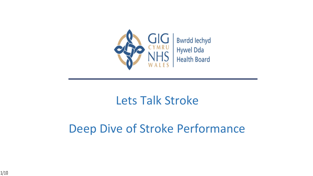

### Lets Talk Stroke

### Deep Dive of Stroke Performance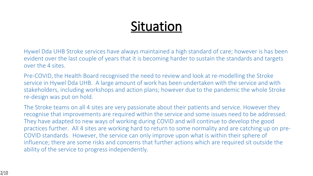# **Situation**

Hywel Dda UHB Stroke services have always maintained a high standard of care; however is has been evident over the last couple of years that it is becoming harder to sustain the standards and targets over the 4 sites.

Pre-COVID, the Health Board recognised the need to review and look at re-modelling the Stroke service in Hywel Dda UHB. A large amount of work has been undertaken with the service and with stakeholders, including workshops and action plans; however due to the pandemic the whole Stroke re-design was put on hold.

The Stroke teams on all 4 sites are very passionate about their patients and service. However they recognise that improvements are required within the service and some issues need to be addressed. They have adapted to new ways of working during COVID and will continue to develop the good practices further. All 4 sites are working hard to return to some normality and are catching up on pre-COVID standards. However, the service can only improve upon what is within their sphere of influence; there are some risks and concerns that further actions which are required sit outside the ability of the service to progress independently.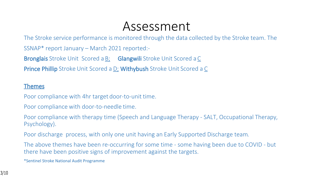### Assessment

The Stroke service performance is monitored through the data collected by the Stroke team. The SSNAP\* report January – March 2021 reported:-

**Bronglais** Stroke Unit Scored a **B**; **Glangwili** Stroke Unit Scored a C

**Prince Phillip** Stroke Unit Scored a D; **Withybush** Stroke Unit Scored a C

#### **Themes**

Poor compliance with 4hr target door-to-unit time.

Poor compliance with door-to-needle time.

Poor compliance with therapy time (Speech and Language Therapy - SALT, Occupational Therapy, Psychology).

Poor discharge process, with only one unit having an Early Supported Discharge team.

The above themes have been re-occurring for some time - some having been due to COVID - but there have been positive signs of improvement against the targets.

\*Sentinel Stroke National Audit Programme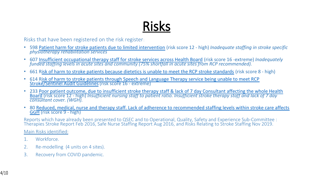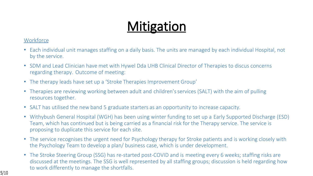# **Mitigation**

#### **Workforce**

- Each individual unit manages staffing on a daily basis. The units are managed by each individual Hospital, not by the service.
- SDM and Lead Clinician have met with Hywel Dda UHB Clinical Director of Therapies to discus concerns regarding therapy. Outcome of meeting:
- The therapy leads have set up a 'Stroke Therapies Improvement Group'
- Therapies are reviewing working between adult and children's services (SALT) with the aim of pulling resources together.
- SALT has utilised the new band 5 graduate starters as an opportunity to increase capacity.
- Withybush General Hospital (WGH) has been using winter funding to set up a Early Supported Discharge (ESD) Team, which has continued but is being carried as a financial risk for the Therapy service. The service is proposing to duplicate this service for each site.
- The service recognises the urgent need for Psychology therapy for Stroke patients and is working closely with the Psychology Team to develop a plan/ business case, which is under development.
- The Stroke Steering Group (SSG) has re-started post-COVID and is meeting every 6 weeks; staffing risks are discussed at the meetings. The SSG is well represented by all staffing groups; discussion is held regarding how to work differently to manage the shortfalls.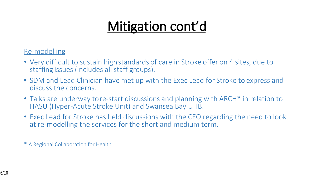# **Mitigation cont'd**

Re-modelling

- Very difficult to sustain high standards of care in Stroke offer on 4 sites, due to staffing issues (includes all staff groups).
- SDM and Lead Clinician have met up with the Exec Lead for Stroke to express and discuss the concerns.
- Talks are underway to re-start discussions and planning with ARCH<sup>\*</sup> in relation to HASU (Hyper-Acute Stroke Unit) and Swansea Bay UHB.
- Exec Lead for Stroke has held discussions with the CEO regarding the need to look at re-modelling the services for the short and medium term.

\* A Regional Collaboration for Health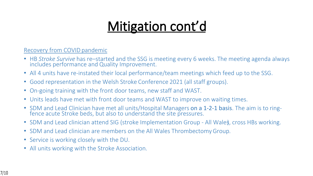## **Mitigation cont'd**

Recovery from COVID pandemic

- HB *Stroke Survive* has re–started and the SSG is meeting every 6 weeks. The meeting agenda always includes performance and Quality Improvement.
- All 4 units have re-instated their local performance/team meetings which feed up to the SSG.
- Good representation in the Welsh Stroke Conference 2021 (all staff groups).
- On-going training with the front door teams, new staff and WAST.
- Units leads have met with front door teams and WAST to improve on waiting times.
- SDM and Lead Clinician have met all units/Hospital Managers on a 1-2-1 basis. The aim is to ringfence acute Stroke beds, but also to understand the site pressures.
- SDM and Lead clinician attend SIG (stroke Implementation Group All Wales), cross HBs working.
- SDM and Lead clinician are members on the All Wales Thrombectomy Group.
- Service is working closely with the DU.
- All units working with the Stroke Association.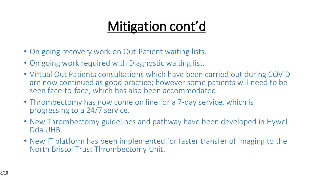# **Mitigation cont'd**

- On going recovery work on Out-Patient waiting lists.
- On going work required with Diagnostic waiting list.
- Virtual Out Patients consultations which have been carried out during COVID are now continued as good practice; however some patients will need to be seen face-to-face, which has also been accommodated.
- Thrombectomy has now come on line for a 7-day service, which is progressing to a 24/7 service.
- New Thrombectomy guidelines and pathway have been developed in Hywel Dda UHB.
- New IT platform has been implemented for faster transfer of imaging to the North Bristol Trust Thrombectomy Unit.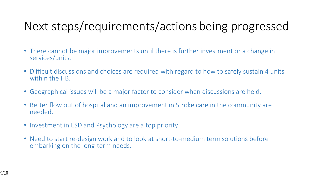### Next steps/requirements/actions being progressed

- There cannot be major improvements until there is further investment or a change in services/units.
- Difficult discussions and choices are required with regard to how to safely sustain 4 units within the HB.
- Geographical issues will be a major factor to consider when discussions are held.
- Better flow out of hospital and an improvement in Stroke care in the community are needed.
- Investment in ESD and Psychology are a top priority.
- Need to start re-design work and to look at short-to-medium term solutions before embarking on the long-term needs.